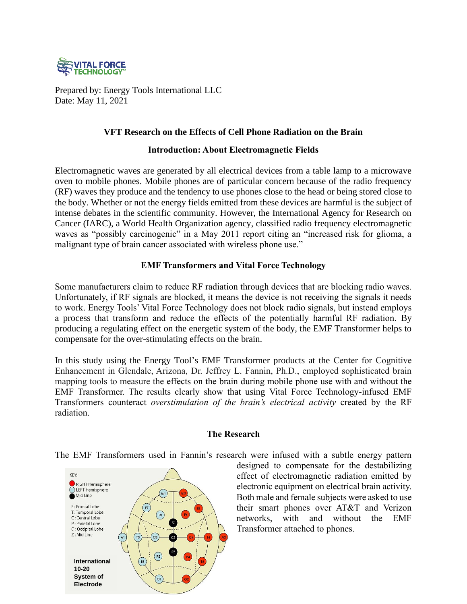

Prepared by: Energy Tools International LLC Date: May 11, 2021

## **VFT Research on the Effects of Cell Phone Radiation on the Brain**

### **Introduction: About Electromagnetic Fields**

Electromagnetic waves are generated by all electrical devices from a table lamp to a microwave oven to mobile phones. Mobile phones are of particular concern because of the radio frequency (RF) waves they produce and the tendency to use phones close to the head or being stored close to the body. Whether or not the energy fields emitted from these devices are harmful is the subject of intense debates in the scientific community. However, the International Agency for Research on Cancer (IARC), a World Health Organization agency, classified radio frequency electromagnetic waves as "possibly carcinogenic" in a May 2011 report citing an "increased risk for glioma, a malignant type of brain cancer associated with wireless phone use."

# **EMF Transformers and Vital Force Technology**

Some manufacturers claim to reduce RF radiation through devices that are blocking radio waves. Unfortunately, if RF signals are blocked, it means the device is not receiving the signals it needs to work. Energy Tools' Vital Force Technology does not block radio signals, but instead employs a process that transform and reduce the effects of the potentially harmful RF radiation. By producing a regulating effect on the energetic system of the body, the EMF Transformer helps to compensate for the over-stimulating effects on the brain.

In this study using the Energy Tool's EMF Transformer products at the Center for Cognitive Enhancement in Glendale, Arizona, Dr. Jeffrey L. Fannin, Ph.D., employed sophisticated brain mapping tools to measure the effects on the brain during mobile phone use with and without the EMF Transformer. The results clearly show that using Vital Force Technology-infused EMF Transformers counteract *overstimulation of the brain's electrical activity* created by the RF radiation.

### **The Research**

The EMF Transformers used in Fannin's research were infused with a subtle energy pattern



designed to compensate for the destabilizing effect of electromagnetic radiation emitted by electronic equipment on electrical brain activity. Both male and female subjects were asked to use their smart phones over AT&T and Verizon networks, with and without the EMF Transformer attached to phones.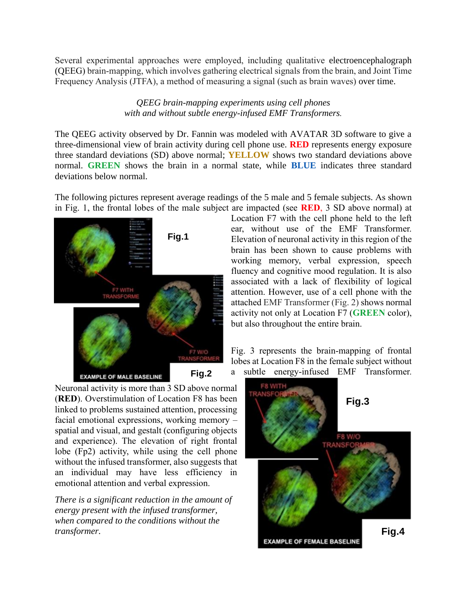Several experimental approaches were employed, including qualitative electroencephalograph (QEEG) brain-mapping, which involves gathering electrical signals from the brain, and Joint Time Frequency Analysis (JTFA), a method of measuring a signal (such as brain waves) over time.

#### *QEEG brain-mapping experiments using cell phones with and without subtle energy-infused EMF Transformers.*

The QEEG activity observed by Dr. Fannin was modeled with AVATAR 3D software to give a three-dimensional view of brain activity during cell phone use. **RED** represents energy exposure three standard deviations (SD) above normal; **YELLOW** shows two standard deviations above normal. **GREEN** shows the brain in a normal state, while **BLUE** indicates three standard deviations below normal.

The following pictures represent average readings of the 5 male and 5 female subjects. As shown in Fig. 1, the frontal lobes of the male subject are impacted (see **RED**, 3 SD above normal) at



Location F7 with the cell phone held to the left ear, without use of the EMF Transformer. Elevation of neuronal activity in this region of the brain has been shown to cause problems with working memory, verbal expression, speech fluency and cognitive mood regulation. It is also associated with a lack of flexibility of logical attention. However, use of a cell phone with the attached EMF Transformer (Fig. 2) shows normal activity not only at Location F7 (**GREEN** color), but also throughout the entire brain.

Fig. 3 represents the brain-mapping of frontal lobes at Location F8 in the female subject without a subtle energy-infused EMF Transformer.

Neuronal activity is more than 3 SD above normal (**RED**). Overstimulation of Location F8 has been linked to problems sustained attention, processing facial emotional expressions, working memory – spatial and visual, and gestalt (configuring objects and experience). The elevation of right frontal lobe (Fp2) activity, while using the cell phone without the infused transformer, also suggests that an individual may have less efficiency in emotional attention and verbal expression.

*There is a significant reduction in the amount of energy present with the infused transformer, when compared to the conditions without the transformer.*